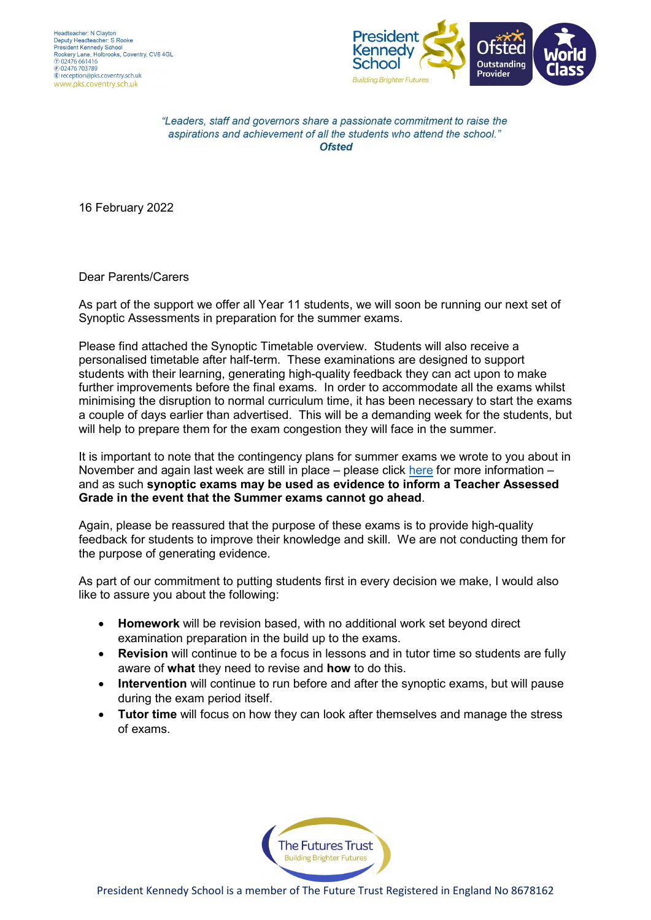

"Leaders, staff and governors share a passionate commitment to raise the aspirations and achievement of all the students who attend the school." **Ofsted** 

16 February 2022

Dear Parents/Carers

As part of the support we offer all Year 11 students, we will soon be running our next set of Synoptic Assessments in preparation for the summer exams.

Please find attached the Synoptic Timetable overview. Students will also receive a personalised timetable after half-term. These examinations are designed to support students with their learning, generating high-quality feedback they can act upon to make further improvements before the final exams. In order to accommodate all the exams whilst minimising the disruption to normal curriculum time, it has been necessary to start the exams a couple of days earlier than advertised. This will be a demanding week for the students, but will help to prepare them for the exam congestion they will face in the summer.

It is important to note that the contingency plans for summer exams we wrote to you about in November and again last week are still in place – please click [here](https://www.gov.uk/government/publications/open-letters-arrangements-for-gcses-as-and-a-levels-in-2022/letter-to-students) for more information – and as such **synoptic exams may be used as evidence to inform a Teacher Assessed Grade in the event that the Summer exams cannot go ahead**.

Again, please be reassured that the purpose of these exams is to provide high-quality feedback for students to improve their knowledge and skill. We are not conducting them for the purpose of generating evidence.

As part of our commitment to putting students first in every decision we make, I would also like to assure you about the following:

- **Homework** will be revision based, with no additional work set beyond direct examination preparation in the build up to the exams.
- **Revision** will continue to be a focus in lessons and in tutor time so students are fully aware of **what** they need to revise and **how** to do this.
- **Intervention** will continue to run before and after the synoptic exams, but will pause during the exam period itself.
- **Tutor time** will focus on how they can look after themselves and manage the stress of exams.

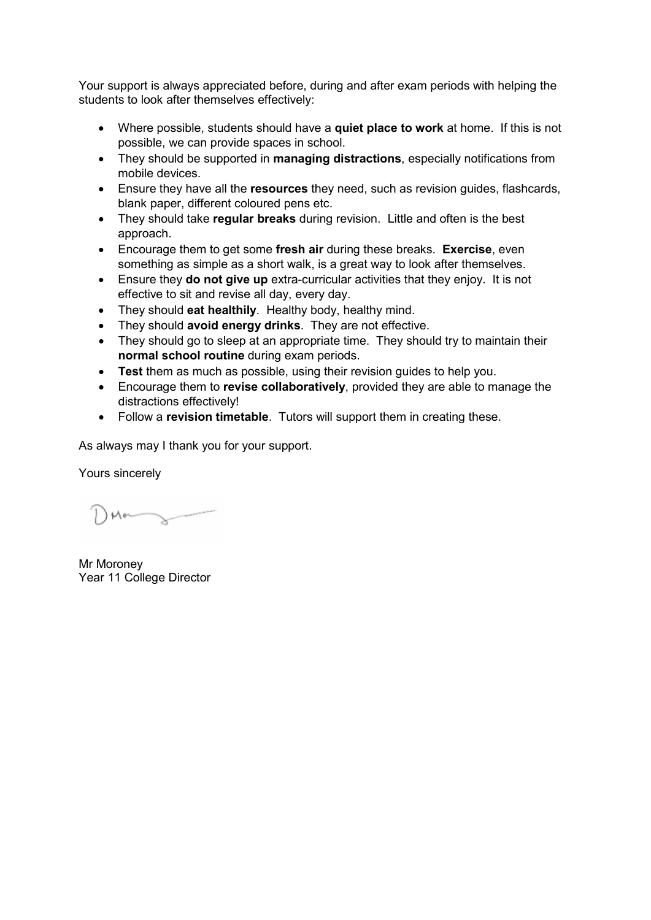Your support is always appreciated before, during and after exam periods with helping the students to look after themselves effectively:

- Where possible, students should have a **quiet place to work** at home. If this is not possible, we can provide spaces in school.
- They should be supported in **managing distractions**, especially notifications from mobile devices.
- Ensure they have all the **resources** they need, such as revision guides, flashcards, blank paper, different coloured pens etc.
- They should take **regular breaks** during revision. Little and often is the best approach.
- Encourage them to get some **fresh air** during these breaks. **Exercise**, even something as simple as a short walk, is a great way to look after themselves.
- Ensure they **do not give up** extra-curricular activities that they enjoy. It is not effective to sit and revise all day, every day.
- They should **eat healthily**. Healthy body, healthy mind.
- They should **avoid energy drinks**. They are not effective.
- They should go to sleep at an appropriate time. They should try to maintain their **normal school routine** during exam periods.
- **Test** them as much as possible, using their revision guides to help you.
- Encourage them to **revise collaboratively**, provided they are able to manage the distractions effectively!
- Follow a **revision timetable**. Tutors will support them in creating these.

As always may I thank you for your support.

Yours sincerely

Mon

Mr Moroney Year 11 College Director